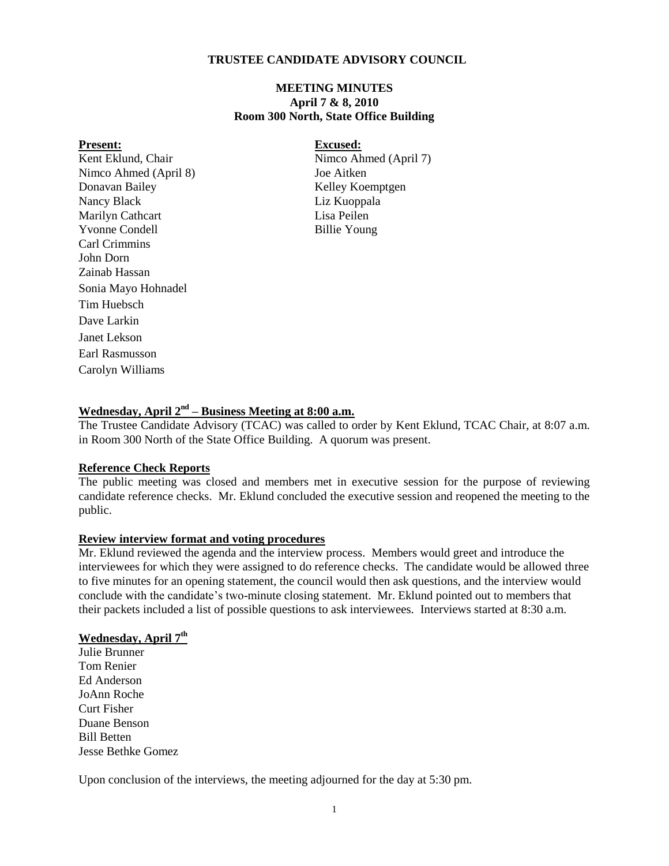## **TRUSTEE CANDIDATE ADVISORY COUNCIL**

## **MEETING MINUTES April 7 & 8, 2010 Room 300 North, State Office Building**

**Present:**<br> **Excused:**<br> **Excused:**<br> **Excused:**<br> **Excused:**<br>
Nimco Ab Nimco Ahmed (April 8) Joe Aitken Donavan Bailey Kelley Koemptgen Nancy Black Liz Kuoppala Marilyn Cathcart Lisa Peilen Yvonne Condell Billie Young Carl Crimmins John Dorn Zainab Hassan Sonia Mayo Hohnadel Tim Huebsch Dave Larkin Janet Lekson Earl Rasmusson Carolyn Williams

Nimco Ahmed (April 7)

## **Wednesday, April 2<sup>nd</sup> – Business Meeting at 8:00 a.m.**

The Trustee Candidate Advisory (TCAC) was called to order by Kent Eklund, TCAC Chair, at 8:07 a.m. in Room 300 North of the State Office Building. A quorum was present.

#### **Reference Check Reports**

The public meeting was closed and members met in executive session for the purpose of reviewing candidate reference checks. Mr. Eklund concluded the executive session and reopened the meeting to the public.

#### **Review interview format and voting procedures**

Mr. Eklund reviewed the agenda and the interview process. Members would greet and introduce the interviewees for which they were assigned to do reference checks. The candidate would be allowed three to five minutes for an opening statement, the council would then ask questions, and the interview would conclude with the candidate's two-minute closing statement. Mr. Eklund pointed out to members that their packets included a list of possible questions to ask interviewees. Interviews started at 8:30 a.m.

## **Wednesday, April 7 th**

Julie Brunner Tom Renier Ed Anderson JoAnn Roche Curt Fisher Duane Benson Bill Betten Jesse Bethke Gomez

Upon conclusion of the interviews, the meeting adjourned for the day at 5:30 pm.